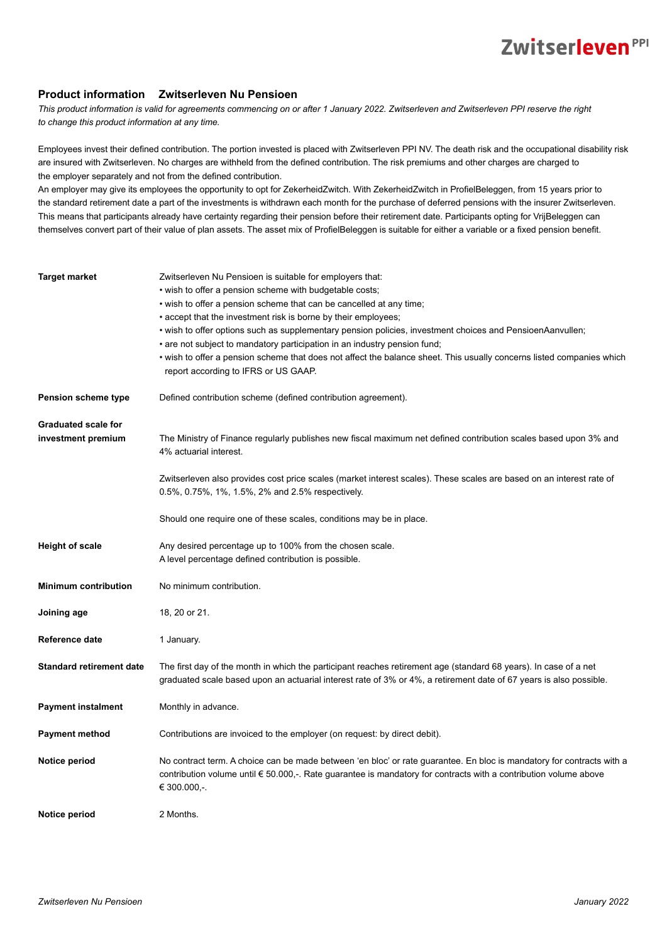#### **Product information Zwitserleven Nu Pensioen**

*This product information is valid for agreements commencing on or after 1 January 2022. Zwitserleven and Zwitserleven PPI reserve the right to change this product information at any time.* 

Employees invest their defined contribution. The portion invested is placed with Zwitserleven PPI NV. The death risk and the occupational disability risk are insured with Zwitserleven. No charges are withheld from the defined contribution. The risk premiums and other charges are charged to the employer separately and not from the defined contribution.

An employer may give its employees the opportunity to opt for ZekerheidZwitch. With ZekerheidZwitch in ProfielBeleggen, from 15 years prior to the standard retirement date a part of the investments is withdrawn each month for the purchase of deferred pensions with the insurer Zwitserleven. This means that participants already have certainty regarding their pension before their retirement date. Participants opting for VrijBeleggen can themselves convert part of their value of plan assets. The asset mix of ProfielBeleggen is suitable for either a variable or a fixed pension benefit.

| <b>Target market</b>                             | Zwitserleven Nu Pensioen is suitable for employers that:<br>• wish to offer a pension scheme with budgetable costs;<br>• wish to offer a pension scheme that can be cancelled at any time;<br>• accept that the investment risk is borne by their employees;<br>• wish to offer options such as supplementary pension policies, investment choices and PensioenAanvullen;<br>• are not subject to mandatory participation in an industry pension fund;<br>• wish to offer a pension scheme that does not affect the balance sheet. This usually concerns listed companies which<br>report according to IFRS or US GAAP. |  |
|--------------------------------------------------|-------------------------------------------------------------------------------------------------------------------------------------------------------------------------------------------------------------------------------------------------------------------------------------------------------------------------------------------------------------------------------------------------------------------------------------------------------------------------------------------------------------------------------------------------------------------------------------------------------------------------|--|
| Pension scheme type                              | Defined contribution scheme (defined contribution agreement).                                                                                                                                                                                                                                                                                                                                                                                                                                                                                                                                                           |  |
| <b>Graduated scale for</b><br>investment premium | The Ministry of Finance regularly publishes new fiscal maximum net defined contribution scales based upon 3% and<br>4% actuarial interest.<br>Zwitserleven also provides cost price scales (market interest scales). These scales are based on an interest rate of                                                                                                                                                                                                                                                                                                                                                      |  |
|                                                  | 0.5%, 0.75%, 1%, 1.5%, 2% and 2.5% respectively.                                                                                                                                                                                                                                                                                                                                                                                                                                                                                                                                                                        |  |
|                                                  | Should one require one of these scales, conditions may be in place.                                                                                                                                                                                                                                                                                                                                                                                                                                                                                                                                                     |  |
| <b>Height of scale</b>                           | Any desired percentage up to 100% from the chosen scale.<br>A level percentage defined contribution is possible.                                                                                                                                                                                                                                                                                                                                                                                                                                                                                                        |  |
| <b>Minimum contribution</b>                      | No minimum contribution.                                                                                                                                                                                                                                                                                                                                                                                                                                                                                                                                                                                                |  |
| Joining age                                      | 18, 20 or 21.                                                                                                                                                                                                                                                                                                                                                                                                                                                                                                                                                                                                           |  |
| Reference date                                   | 1 January.                                                                                                                                                                                                                                                                                                                                                                                                                                                                                                                                                                                                              |  |
| <b>Standard retirement date</b>                  | The first day of the month in which the participant reaches retirement age (standard 68 years). In case of a net<br>graduated scale based upon an actuarial interest rate of 3% or 4%, a retirement date of 67 years is also possible.                                                                                                                                                                                                                                                                                                                                                                                  |  |
| <b>Payment instalment</b>                        | Monthly in advance.                                                                                                                                                                                                                                                                                                                                                                                                                                                                                                                                                                                                     |  |
| <b>Payment method</b>                            | Contributions are invoiced to the employer (on request: by direct debit).                                                                                                                                                                                                                                                                                                                                                                                                                                                                                                                                               |  |
| Notice period                                    | No contract term. A choice can be made between 'en bloc' or rate guarantee. En bloc is mandatory for contracts with a<br>contribution volume until $\epsilon$ 50.000,-. Rate guarantee is mandatory for contracts with a contribution volume above<br>€ 300.000,-.                                                                                                                                                                                                                                                                                                                                                      |  |
| Notice period                                    | 2 Months.                                                                                                                                                                                                                                                                                                                                                                                                                                                                                                                                                                                                               |  |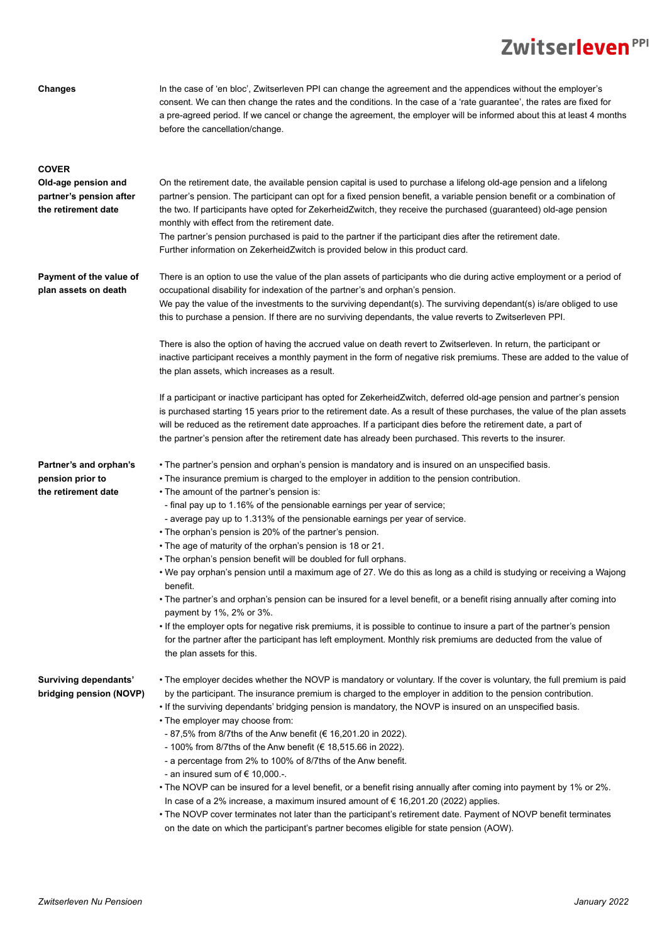#### **Changes**

In the case of 'en bloc', Zwitserleven PPI can change the agreement and the appendices without the employer's consent. We can then change the rates and the conditions. In the case of a 'rate guarantee', the rates are fixed for a pre-agreed period. If we cancel or change the agreement, the employer will be informed about this at least 4 months before the cancellation/change.

| <b>COVER</b>                                                          |                                                                                                                                                                                                                                                                                                                                                                                                                                                                                                                                                                                                                   |
|-----------------------------------------------------------------------|-------------------------------------------------------------------------------------------------------------------------------------------------------------------------------------------------------------------------------------------------------------------------------------------------------------------------------------------------------------------------------------------------------------------------------------------------------------------------------------------------------------------------------------------------------------------------------------------------------------------|
| Old-age pension and<br>partner's pension after<br>the retirement date | On the retirement date, the available pension capital is used to purchase a lifelong old-age pension and a lifelong<br>partner's pension. The participant can opt for a fixed pension benefit, a variable pension benefit or a combination of<br>the two. If participants have opted for ZekerheidZwitch, they receive the purchased (guaranteed) old-age pension<br>monthly with effect from the retirement date.<br>The partner's pension purchased is paid to the partner if the participant dies after the retirement date.<br>Further information on ZekerheidZwitch is provided below in this product card. |
| Payment of the value of<br>plan assets on death                       | There is an option to use the value of the plan assets of participants who die during active employment or a period of<br>occupational disability for indexation of the partner's and orphan's pension.<br>We pay the value of the investments to the surviving dependant(s). The surviving dependant(s) is/are obliged to use<br>this to purchase a pension. If there are no surviving dependants, the value reverts to Zwitserleven PPI.                                                                                                                                                                        |
|                                                                       | There is also the option of having the accrued value on death revert to Zwitserleven. In return, the participant or<br>inactive participant receives a monthly payment in the form of negative risk premiums. These are added to the value of<br>the plan assets, which increases as a result.                                                                                                                                                                                                                                                                                                                    |
|                                                                       | If a participant or inactive participant has opted for ZekerheidZwitch, deferred old-age pension and partner's pension<br>is purchased starting 15 years prior to the retirement date. As a result of these purchases, the value of the plan assets<br>will be reduced as the retirement date approaches. If a participant dies before the retirement date, a part of<br>the partner's pension after the retirement date has already been purchased. This reverts to the insurer.                                                                                                                                 |
| Partner's and orphan's<br>pension prior to                            | • The partner's pension and orphan's pension is mandatory and is insured on an unspecified basis.<br>• The insurance premium is charged to the employer in addition to the pension contribution.                                                                                                                                                                                                                                                                                                                                                                                                                  |
| the retirement date                                                   | • The amount of the partner's pension is:                                                                                                                                                                                                                                                                                                                                                                                                                                                                                                                                                                         |
|                                                                       | - final pay up to 1.16% of the pensionable earnings per year of service;                                                                                                                                                                                                                                                                                                                                                                                                                                                                                                                                          |
|                                                                       | - average pay up to 1.313% of the pensionable earnings per year of service.                                                                                                                                                                                                                                                                                                                                                                                                                                                                                                                                       |
|                                                                       | • The orphan's pension is 20% of the partner's pension.                                                                                                                                                                                                                                                                                                                                                                                                                                                                                                                                                           |
|                                                                       | • The age of maturity of the orphan's pension is 18 or 21.                                                                                                                                                                                                                                                                                                                                                                                                                                                                                                                                                        |
|                                                                       | • The orphan's pension benefit will be doubled for full orphans.                                                                                                                                                                                                                                                                                                                                                                                                                                                                                                                                                  |
|                                                                       | • We pay orphan's pension until a maximum age of 27. We do this as long as a child is studying or receiving a Wajong<br>benefit.                                                                                                                                                                                                                                                                                                                                                                                                                                                                                  |
|                                                                       | • The partner's and orphan's pension can be insured for a level benefit, or a benefit rising annually after coming into<br>payment by 1%, 2% or 3%.                                                                                                                                                                                                                                                                                                                                                                                                                                                               |
|                                                                       | If the employer opts for negative risk premiums, it is possible to continue to insure a part of the partner's pension<br>for the partner after the participant has left employment. Monthly risk premiums are deducted from the value of<br>the plan assets for this.                                                                                                                                                                                                                                                                                                                                             |
| Surviving dependants'<br>bridging pension (NOVP)                      | • The employer decides whether the NOVP is mandatory or voluntary. If the cover is voluntary, the full premium is paid<br>by the participant. The insurance premium is charged to the employer in addition to the pension contribution.<br>. If the surviving dependants' bridging pension is mandatory, the NOVP is insured on an unspecified basis.<br>• The employer may choose from:                                                                                                                                                                                                                          |
|                                                                       | - 87,5% from 8/7ths of the Anw benefit (€ 16,201.20 in 2022).                                                                                                                                                                                                                                                                                                                                                                                                                                                                                                                                                     |
|                                                                       | - 100% from 8/7 ths of the Anw benefit (€ 18,515.66 in 2022).                                                                                                                                                                                                                                                                                                                                                                                                                                                                                                                                                     |
|                                                                       | - a percentage from 2% to 100% of 8/7ths of the Anw benefit.                                                                                                                                                                                                                                                                                                                                                                                                                                                                                                                                                      |
|                                                                       | - an insured sum of $\in$ 10,000 -.                                                                                                                                                                                                                                                                                                                                                                                                                                                                                                                                                                               |
|                                                                       | • The NOVP can be insured for a level benefit, or a benefit rising annually after coming into payment by 1% or 2%.                                                                                                                                                                                                                                                                                                                                                                                                                                                                                                |
|                                                                       | In case of a 2% increase, a maximum insured amount of $\epsilon$ 16,201.20 (2022) applies.                                                                                                                                                                                                                                                                                                                                                                                                                                                                                                                        |
|                                                                       | • The NOVP cover terminates not later than the participant's retirement date. Payment of NOVP benefit terminates<br>on the date on which the participant's partner becomes eligible for state pension (AOW).                                                                                                                                                                                                                                                                                                                                                                                                      |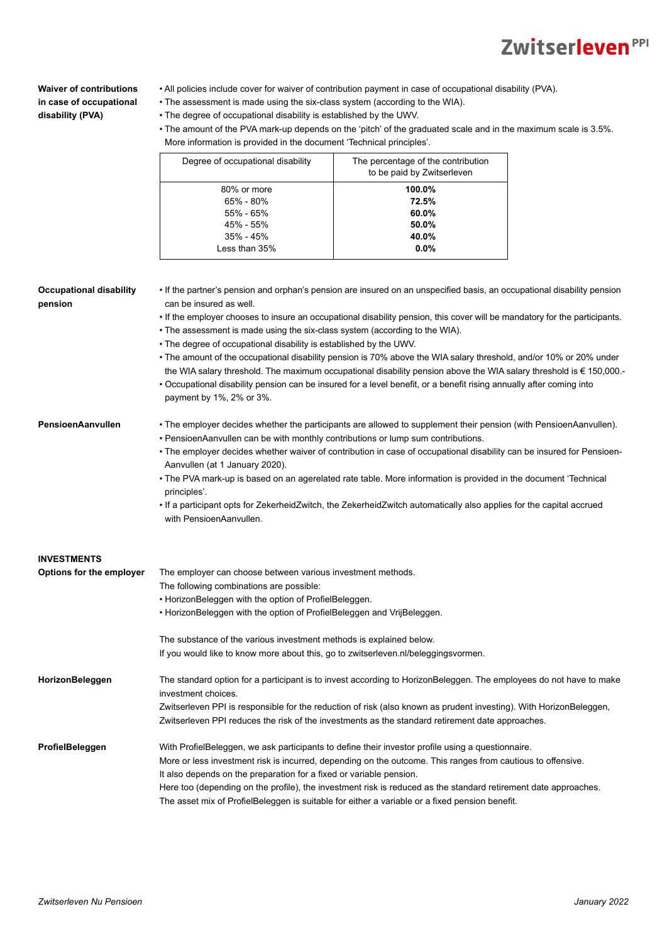### **Waiver of contributions in case of occupational disability (PVA)**

- All policies include cover for waiver of contribution payment in case of occupational disability (PVA).
- The assessment is made using the six-class system (according to the WIA).
- The degree of occupational disability is established by the UWV.
- The amount of the PVA mark-up depends on the 'pitch' of the graduated scale and in the maximum scale is 3.5%. More information is provided in the document 'Technical principles'.

| Degree of occupational disability | The percentage of the contribution<br>to be paid by Zwitserleven |
|-----------------------------------|------------------------------------------------------------------|
| 80% or more                       | 100.0%                                                           |
| $65\% - 80\%$                     | 72.5%                                                            |
| $55\% - 65\%$                     | 60.0%                                                            |
| 45% - 55%                         | 50.0%                                                            |
| $35\% - 45\%$                     | 40.0%                                                            |
| Less than 35%                     | $0.0\%$                                                          |

#### **Occupational disability pension**

- If the partner's pension and orphan's pension are insured on an unspecified basis, an occupational disability pension can be insured as well.
- If the employer chooses to insure an occupational disability pension, this cover will be mandatory for the participants.
- The assessment is made using the six-class system (according to the WIA).
- The degree of occupational disability is established by the UWV.
- The amount of the occupational disability pension is 70% above the WIA salary threshold, and/or 10% or 20% under the WIA salary threshold. The maximum occupational disability pension above the WIA salary threshold is € 150,000.-
- Occupational disability pension can be insured for a level benefit, or a benefit rising annually after coming into payment by 1%, 2% or 3%.

#### **PensioenAanvullen**

- The employer decides whether the participants are allowed to supplement their pension (with PensioenAanvullen).
- PensioenAanvullen can be with monthly contributions or lump sum contributions.
- The employer decides whether waiver of contribution in case of occupational disability can be insured for Pensioen-Aanvullen (at 1 January 2020).
- The PVA mark-up is based on an agerelated rate table. More information is provided in the document 'Technical principles'.
- If a participant opts for ZekerheidZwitch, the ZekerheidZwitch automatically also applies for the capital accrued with PensioenAanvullen.

| <b>INVESTMENTS</b>       |                                                                                                                                           |  |  |
|--------------------------|-------------------------------------------------------------------------------------------------------------------------------------------|--|--|
| Options for the employer | The employer can choose between various investment methods.                                                                               |  |  |
|                          | The following combinations are possible:                                                                                                  |  |  |
|                          | • HorizonBeleggen with the option of ProfielBeleggen.                                                                                     |  |  |
|                          | • HorizonBeleggen with the option of ProfielBeleggen and VrijBeleggen.                                                                    |  |  |
|                          | The substance of the various investment methods is explained below.                                                                       |  |  |
|                          | If you would like to know more about this, go to zwitserleven.nl/beleggingsvormen.                                                        |  |  |
| HorizonBeleggen          | The standard option for a participant is to invest according to HorizonBeleggen. The employees do not have to make<br>investment choices. |  |  |
|                          | Zwitserleven PPI is responsible for the reduction of risk (also known as prudent investing). With HorizonBeleggen,                        |  |  |
|                          | Zwitserleven PPI reduces the risk of the investments as the standard retirement date approaches.                                          |  |  |
| ProfielBeleggen          | With ProfielBeleggen, we ask participants to define their investor profile using a questionnaire.                                         |  |  |
|                          | More or less investment risk is incurred, depending on the outcome. This ranges from cautious to offensive.                               |  |  |
|                          | It also depends on the preparation for a fixed or variable pension.                                                                       |  |  |
|                          | Here too (depending on the profile), the investment risk is reduced as the standard retirement date approaches.                           |  |  |
|                          | The asset mix of ProfielBeleggen is suitable for either a variable or a fixed pension benefit.                                            |  |  |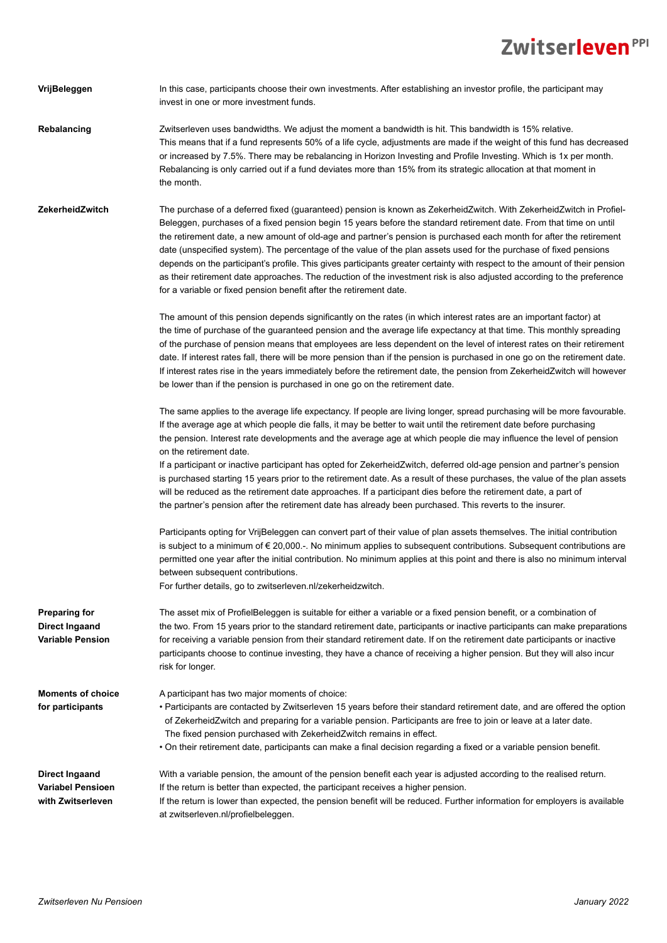| VrijBeleggen                                                             | In this case, participants choose their own investments. After establishing an investor profile, the participant may<br>invest in one or more investment funds.                                                                                                                                                                                                                                                                                                                                                                                                                                                                                                                                                                                                                                                      |
|--------------------------------------------------------------------------|----------------------------------------------------------------------------------------------------------------------------------------------------------------------------------------------------------------------------------------------------------------------------------------------------------------------------------------------------------------------------------------------------------------------------------------------------------------------------------------------------------------------------------------------------------------------------------------------------------------------------------------------------------------------------------------------------------------------------------------------------------------------------------------------------------------------|
| <b>Rebalancing</b>                                                       | Zwitserleven uses bandwidths. We adjust the moment a bandwidth is hit. This bandwidth is 15% relative.<br>This means that if a fund represents 50% of a life cycle, adjustments are made if the weight of this fund has decreased<br>or increased by 7.5%. There may be rebalancing in Horizon Investing and Profile Investing. Which is 1x per month.<br>Rebalancing is only carried out if a fund deviates more than 15% from its strategic allocation at that moment in<br>the month.                                                                                                                                                                                                                                                                                                                             |
| ZekerheidZwitch                                                          | The purchase of a deferred fixed (guaranteed) pension is known as ZekerheidZwitch. With ZekerheidZwitch in Profiel-<br>Beleggen, purchases of a fixed pension begin 15 years before the standard retirement date. From that time on until<br>the retirement date, a new amount of old-age and partner's pension is purchased each month for after the retirement<br>date (unspecified system). The percentage of the value of the plan assets used for the purchase of fixed pensions<br>depends on the participant's profile. This gives participants greater certainty with respect to the amount of their pension<br>as their retirement date approaches. The reduction of the investment risk is also adjusted according to the preference<br>for a variable or fixed pension benefit after the retirement date. |
|                                                                          | The amount of this pension depends significantly on the rates (in which interest rates are an important factor) at<br>the time of purchase of the guaranteed pension and the average life expectancy at that time. This monthly spreading<br>of the purchase of pension means that employees are less dependent on the level of interest rates on their retirement<br>date. If interest rates fall, there will be more pension than if the pension is purchased in one go on the retirement date.<br>If interest rates rise in the years immediately before the retirement date, the pension from ZekerheidZwitch will however<br>be lower than if the pension is purchased in one go on the retirement date.                                                                                                        |
|                                                                          | The same applies to the average life expectancy. If people are living longer, spread purchasing will be more favourable.<br>If the average age at which people die falls, it may be better to wait until the retirement date before purchasing<br>the pension. Interest rate developments and the average age at which people die may influence the level of pension<br>on the retirement date.                                                                                                                                                                                                                                                                                                                                                                                                                      |
|                                                                          | If a participant or inactive participant has opted for ZekerheidZwitch, deferred old-age pension and partner's pension<br>is purchased starting 15 years prior to the retirement date. As a result of these purchases, the value of the plan assets<br>will be reduced as the retirement date approaches. If a participant dies before the retirement date, a part of<br>the partner's pension after the retirement date has already been purchased. This reverts to the insurer.                                                                                                                                                                                                                                                                                                                                    |
|                                                                          | Participants opting for VrijBeleggen can convert part of their value of plan assets themselves. The initial contribution<br>is subject to a minimum of $\in$ 20,000.-. No minimum applies to subsequent contributions. Subsequent contributions are<br>permitted one year after the initial contribution. No minimum applies at this point and there is also no minimum interval<br>between subsequent contributions.<br>For further details, go to zwitserleven.nl/zekerheidzwitch.                                                                                                                                                                                                                                                                                                                                 |
| <b>Preparing for</b><br><b>Direct Ingaand</b><br><b>Variable Pension</b> | The asset mix of ProfielBeleggen is suitable for either a variable or a fixed pension benefit, or a combination of<br>the two. From 15 years prior to the standard retirement date, participants or inactive participants can make preparations<br>for receiving a variable pension from their standard retirement date. If on the retirement date participants or inactive<br>participants choose to continue investing, they have a chance of receiving a higher pension. But they will also incur<br>risk for longer.                                                                                                                                                                                                                                                                                             |
| <b>Moments of choice</b><br>for participants                             | A participant has two major moments of choice:<br>• Participants are contacted by Zwitserleven 15 years before their standard retirement date, and are offered the option<br>of ZekerheidZwitch and preparing for a variable pension. Participants are free to join or leave at a later date.<br>The fixed pension purchased with ZekerheidZwitch remains in effect.<br>• On their retirement date, participants can make a final decision regarding a fixed or a variable pension benefit.                                                                                                                                                                                                                                                                                                                          |
| <b>Direct Ingaand</b><br><b>Variabel Pensioen</b><br>with Zwitserleven   | With a variable pension, the amount of the pension benefit each year is adjusted according to the realised return.<br>If the return is better than expected, the participant receives a higher pension.<br>If the return is lower than expected, the pension benefit will be reduced. Further information for employers is available<br>at zwitserleven.nl/profielbeleggen.                                                                                                                                                                                                                                                                                                                                                                                                                                          |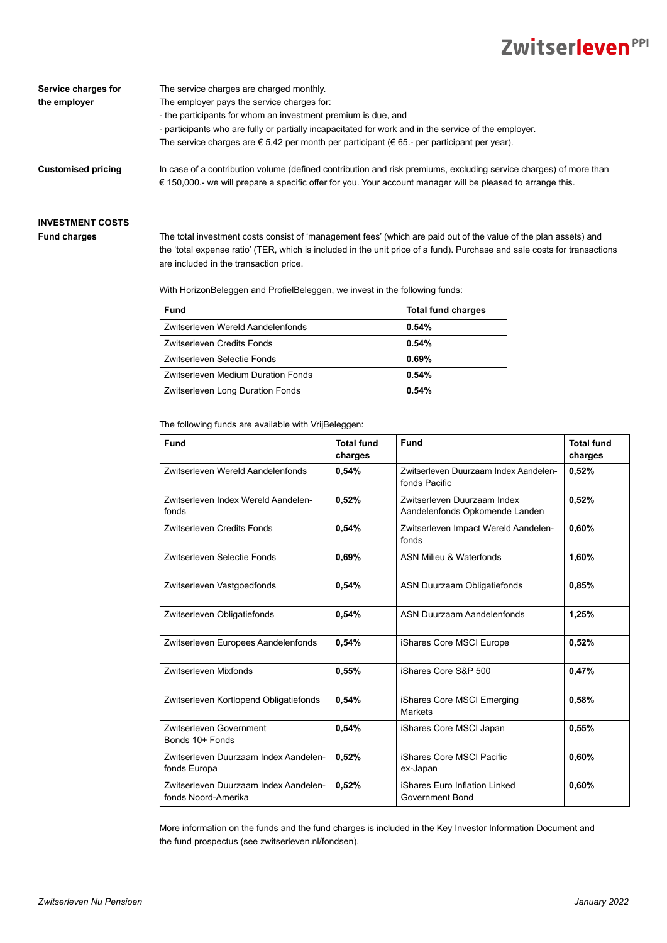| Service charges for | The service charges are charged monthly.                                                                                                                                                                                                  |
|---------------------|-------------------------------------------------------------------------------------------------------------------------------------------------------------------------------------------------------------------------------------------|
| the emplover        | The employer pays the service charges for:                                                                                                                                                                                                |
|                     | - the participants for whom an investment premium is due, and                                                                                                                                                                             |
|                     | - participants who are fully or partially incapacitated for work and in the service of the employer.                                                                                                                                      |
|                     | The service charges are $\epsilon$ 5,42 per month per participant ( $\epsilon$ 65 - per participant per year).                                                                                                                            |
| Customised pricing  | In case of a contribution volume (defined contribution and risk premiums, excluding service charges) of more than<br>$\epsilon$ 150,000 - we will prepare a specific offer for you. Your account manager will be pleased to arrange this. |

#### **INVESTMENT COSTS Fund charges**

The total investment costs consist of 'management fees' (which are paid out of the value of the plan assets) and the 'total expense ratio' (TER, which is included in the unit price of a fund). Purchase and sale costs for transactions are included in the transaction price.

With HorizonBeleggen and ProfielBeleggen, we invest in the following funds:

| <b>Fund</b>                        | <b>Total fund charges</b> |
|------------------------------------|---------------------------|
| Zwitserleven Wereld Aandelenfonds  | 0.54%                     |
| Zwitserleven Credits Fonds         | 0.54%                     |
| Zwitserleven Selectie Fonds        | 0.69%                     |
| Zwitserleven Medium Duration Fonds | 0.54%                     |
| Zwitserleven Long Duration Fonds   | 0.54%                     |

The following funds are available with VrijBeleggen:

| Fund                                                         | <b>Total fund</b><br>charges | Fund                                                          | <b>Total fund</b><br>charges |
|--------------------------------------------------------------|------------------------------|---------------------------------------------------------------|------------------------------|
| Zwitserleven Wereld Aandelenfonds                            | 0,54%                        | Zwitserleven Duurzaam Index Aandelen-<br>fonds Pacific        | 0,52%                        |
| Zwitserleven Index Wereld Aandelen-<br>fonds                 | 0,52%                        | Zwitserleven Duurzaam Index<br>Aandelenfonds Opkomende Landen | 0,52%                        |
| Zwitserleven Credits Fonds                                   | 0,54%                        | Zwitserleven Impact Wereld Aandelen-<br>fonds                 | 0,60%                        |
| Zwitserleven Selectie Fonds                                  | 0,69%                        | ASN Milieu & Waterfonds                                       | 1,60%                        |
| Zwitserleven Vastgoedfonds                                   | 0,54%                        | ASN Duurzaam Obligatiefonds                                   | 0.85%                        |
| Zwitserleven Obligatiefonds                                  | 0,54%                        | ASN Duurzaam Aandelenfonds                                    | 1,25%                        |
| Zwitserleven Europees Aandelenfonds                          | 0,54%                        | iShares Core MSCI Europe                                      | 0,52%                        |
| Zwitserleven Mixfonds                                        | 0,55%                        | iShares Core S&P 500                                          | 0.47%                        |
| Zwitserleven Kortlopend Obligatiefonds                       | 0,54%                        | iShares Core MSCI Emerging<br>Markets                         | 0,58%                        |
| Zwitserleven Government<br>Bonds 10+ Fonds                   | 0,54%                        | iShares Core MSCI Japan                                       | 0,55%                        |
| Zwitserleven Duurzaam Index Aandelen-<br>fonds Europa        | 0,52%                        | iShares Core MSCI Pacific<br>ex-Japan                         | 0,60%                        |
| Zwitserleven Duurzaam Index Aandelen-<br>fonds Noord-Amerika | 0,52%                        | iShares Euro Inflation Linked<br>Government Bond              | 0,60%                        |

More information on the funds and the fund charges is included in the Key Investor Information Document and the fund prospectus (see [zwitserleven.nl/fondsen\)](http://zwitserleven.nl/fondsen).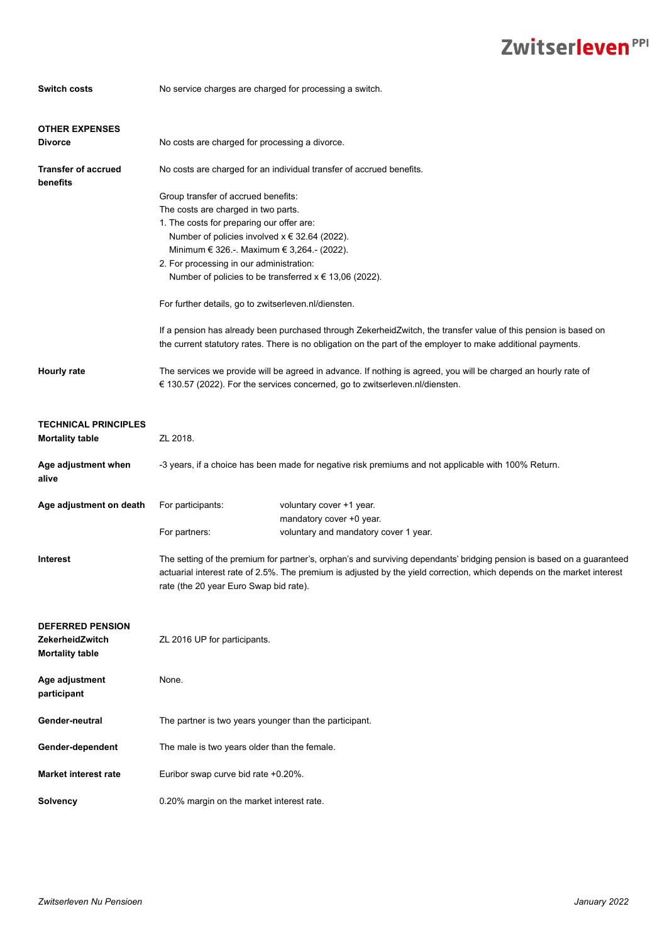| <b>Switch costs</b>                                                  | No service charges are charged for processing a switch.                                                                                                                                                                                                                                    |                                                                                                                                                                                                                                 |  |
|----------------------------------------------------------------------|--------------------------------------------------------------------------------------------------------------------------------------------------------------------------------------------------------------------------------------------------------------------------------------------|---------------------------------------------------------------------------------------------------------------------------------------------------------------------------------------------------------------------------------|--|
|                                                                      |                                                                                                                                                                                                                                                                                            |                                                                                                                                                                                                                                 |  |
| <b>OTHER EXPENSES</b>                                                |                                                                                                                                                                                                                                                                                            |                                                                                                                                                                                                                                 |  |
| <b>Divorce</b>                                                       | No costs are charged for processing a divorce.                                                                                                                                                                                                                                             |                                                                                                                                                                                                                                 |  |
| <b>Transfer of accrued</b><br>benefits                               | No costs are charged for an individual transfer of accrued benefits.                                                                                                                                                                                                                       |                                                                                                                                                                                                                                 |  |
|                                                                      | Group transfer of accrued benefits:                                                                                                                                                                                                                                                        |                                                                                                                                                                                                                                 |  |
|                                                                      | The costs are charged in two parts.                                                                                                                                                                                                                                                        |                                                                                                                                                                                                                                 |  |
|                                                                      | 1. The costs for preparing our offer are:                                                                                                                                                                                                                                                  |                                                                                                                                                                                                                                 |  |
|                                                                      | Number of policies involved $x \in 32.64$ (2022).                                                                                                                                                                                                                                          |                                                                                                                                                                                                                                 |  |
|                                                                      | Minimum € 326.-. Maximum € 3,264.- (2022).                                                                                                                                                                                                                                                 |                                                                                                                                                                                                                                 |  |
|                                                                      | 2. For processing in our administration:                                                                                                                                                                                                                                                   |                                                                                                                                                                                                                                 |  |
|                                                                      | Number of policies to be transferred $x \in 13,06$ (2022).                                                                                                                                                                                                                                 |                                                                                                                                                                                                                                 |  |
|                                                                      | For further details, go to zwitserleven.nl/diensten.                                                                                                                                                                                                                                       |                                                                                                                                                                                                                                 |  |
|                                                                      |                                                                                                                                                                                                                                                                                            | If a pension has already been purchased through ZekerheidZwitch, the transfer value of this pension is based on<br>the current statutory rates. There is no obligation on the part of the employer to make additional payments. |  |
| Hourly rate                                                          | The services we provide will be agreed in advance. If nothing is agreed, you will be charged an hourly rate of<br>€ 130.57 (2022). For the services concerned, go to zwitserleven.nl/diensten.                                                                                             |                                                                                                                                                                                                                                 |  |
| <b>TECHNICAL PRINCIPLES</b>                                          |                                                                                                                                                                                                                                                                                            |                                                                                                                                                                                                                                 |  |
| <b>Mortality table</b>                                               | ZL 2018.                                                                                                                                                                                                                                                                                   |                                                                                                                                                                                                                                 |  |
| Age adjustment when<br>alive                                         | -3 years, if a choice has been made for negative risk premiums and not applicable with 100% Return.                                                                                                                                                                                        |                                                                                                                                                                                                                                 |  |
| Age adjustment on death                                              | For participants:                                                                                                                                                                                                                                                                          | voluntary cover +1 year.                                                                                                                                                                                                        |  |
|                                                                      |                                                                                                                                                                                                                                                                                            | mandatory cover +0 year.                                                                                                                                                                                                        |  |
|                                                                      | For partners:                                                                                                                                                                                                                                                                              | voluntary and mandatory cover 1 year.                                                                                                                                                                                           |  |
| <b>Interest</b>                                                      | The setting of the premium for partner's, orphan's and surviving dependants' bridging pension is based on a guaranteed<br>actuarial interest rate of 2.5%. The premium is adjusted by the yield correction, which depends on the market interest<br>rate (the 20 year Euro Swap bid rate). |                                                                                                                                                                                                                                 |  |
| <b>DEFERRED PENSION</b><br>ZekerheidZwitch<br><b>Mortality table</b> | ZL 2016 UP for participants.                                                                                                                                                                                                                                                               |                                                                                                                                                                                                                                 |  |
| Age adjustment<br>participant                                        | None.                                                                                                                                                                                                                                                                                      |                                                                                                                                                                                                                                 |  |
| Gender-neutral                                                       | The partner is two years younger than the participant.                                                                                                                                                                                                                                     |                                                                                                                                                                                                                                 |  |
| Gender-dependent                                                     | The male is two years older than the female.                                                                                                                                                                                                                                               |                                                                                                                                                                                                                                 |  |
| <b>Market interest rate</b>                                          | Euribor swap curve bid rate +0.20%.                                                                                                                                                                                                                                                        |                                                                                                                                                                                                                                 |  |
| <b>Solvency</b>                                                      | 0.20% margin on the market interest rate.                                                                                                                                                                                                                                                  |                                                                                                                                                                                                                                 |  |